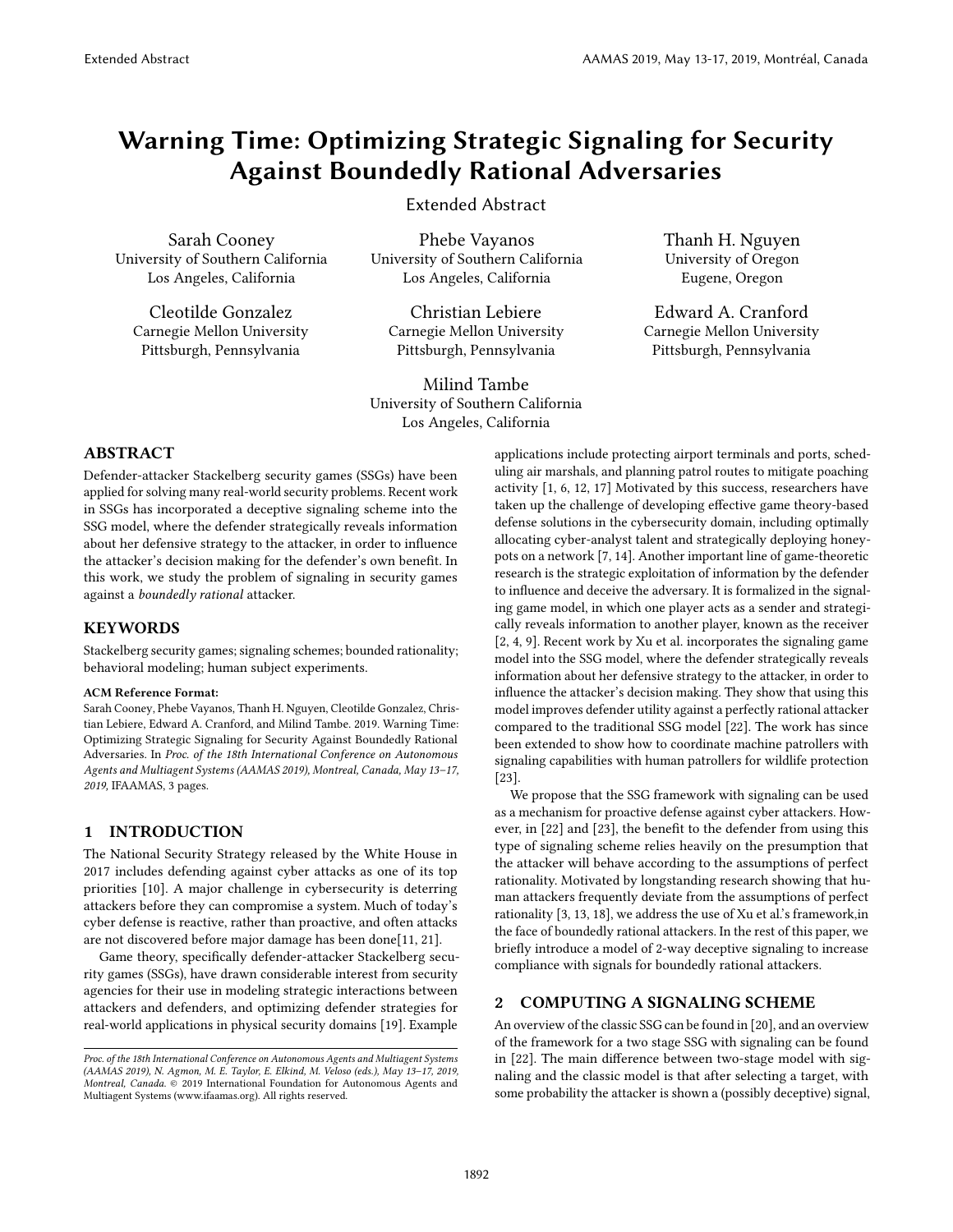# Warning Time: Optimizing Strategic Signaling for Security Against Boundedly Rational Adversaries

Extended Abstract

Sarah Cooney University of Southern California Los Angeles, California

Cleotilde Gonzalez Carnegie Mellon University Pittsburgh, Pennsylvania

Phebe Vayanos University of Southern California Los Angeles, California

Christian Lebiere Carnegie Mellon University Pittsburgh, Pennsylvania

Milind Tambe University of Southern California Los Angeles, California

Thanh H. Nguyen University of Oregon Eugene, Oregon

Edward A. Cranford Carnegie Mellon University Pittsburgh, Pennsylvania

## ABSTRACT

Defender-attacker Stackelberg security games (SSGs) have been applied for solving many real-world security problems. Recent work in SSGs has incorporated a deceptive signaling scheme into the SSG model, where the defender strategically reveals information about her defensive strategy to the attacker, in order to influence the attacker's decision making for the defender's own benefit. In this work, we study the problem of signaling in security games against a boundedly rational attacker.

#### **KEYWORDS**

Stackelberg security games; signaling schemes; bounded rationality; behavioral modeling; human subject experiments.

#### ACM Reference Format:

Sarah Cooney, Phebe Vayanos, Thanh H. Nguyen, Cleotilde Gonzalez, Christian Lebiere, Edward A. Cranford, and Milind Tambe. 2019. Warning Time: Optimizing Strategic Signaling for Security Against Boundedly Rational Adversaries. In Proc. of the 18th International Conference on Autonomous Agents and Multiagent Systems (AAMAS 2019), Montreal, Canada, May 13–17, 2019, IFAAMAS, [3](#page-2-0) pages.

#### 1 INTRODUCTION

The National Security Strategy released by the White House in 2017 includes defending against cyber attacks as one of its top priorities [\[10\]](#page-1-0). A major challenge in cybersecurity is deterring attackers before they can compromise a system. Much of today's cyber defense is reactive, rather than proactive, and often attacks are not discovered before major damage has been done[\[11,](#page-1-1) [21\]](#page-2-1).

Game theory, specifically defender-attacker Stackelberg security games (SSGs), have drawn considerable interest from security agencies for their use in modeling strategic interactions between attackers and defenders, and optimizing defender strategies for real-world applications in physical security domains [\[19\]](#page-2-2). Example

applications include protecting airport terminals and ports, scheduling air marshals, and planning patrol routes to mitigate poaching activity [\[1,](#page-1-2) [6,](#page-1-3) [12,](#page-1-4) [17\]](#page-2-3) Motivated by this success, researchers have taken up the challenge of developing effective game theory-based defense solutions in the cybersecurity domain, including optimally allocating cyber-analyst talent and strategically deploying honeypots on a network [\[7,](#page-1-5) [14\]](#page-2-4). Another important line of game-theoretic research is the strategic exploitation of information by the defender to influence and deceive the adversary. It is formalized in the signaling game model, in which one player acts as a sender and strategically reveals information to another player, known as the receiver [\[2,](#page-1-6) [4,](#page-1-7) [9\]](#page-1-8). Recent work by Xu et al. incorporates the signaling game model into the SSG model, where the defender strategically reveals information about her defensive strategy to the attacker, in order to influence the attacker's decision making. They show that using this model improves defender utility against a perfectly rational attacker compared to the traditional SSG model [\[22\]](#page-2-5). The work has since been extended to show how to coordinate machine patrollers with signaling capabilities with human patrollers for wildlife protection [\[23\]](#page-2-6).

We propose that the SSG framework with signaling can be used as a mechanism for proactive defense against cyber attackers. How-ever, in [\[22\]](#page-2-5) and [\[23\]](#page-2-6), the benefit to the defender from using this type of signaling scheme relies heavily on the presumption that the attacker will behave according to the assumptions of perfect rationality. Motivated by longstanding research showing that human attackers frequently deviate from the assumptions of perfect rationality [\[3,](#page-1-9) [13,](#page-1-10) [18\]](#page-2-7), we address the use of Xu et al.'s framework,in the face of boundedly rational attackers. In the rest of this paper, we briefly introduce a model of 2-way deceptive signaling to increase compliance with signals for boundedly rational attackers.

### 2 COMPUTING A SIGNALING SCHEME

An overview of the classic SSG can be found in [\[20\]](#page-2-8), and an overview of the framework for a two stage SSG with signaling can be found in [\[22\]](#page-2-5). The main difference between two-stage model with signaling and the classic model is that after selecting a target, with some probability the attacker is shown a (possibly deceptive) signal,

Proc. of the 18th International Conference on Autonomous Agents and Multiagent Systems (AAMAS 2019), N. Agmon, M. E. Taylor, E. Elkind, M. Veloso (eds.), May 13–17, 2019, Montreal, Canada. © 2019 International Foundation for Autonomous Agents and Multiagent Systems (www.ifaamas.org). All rights reserved.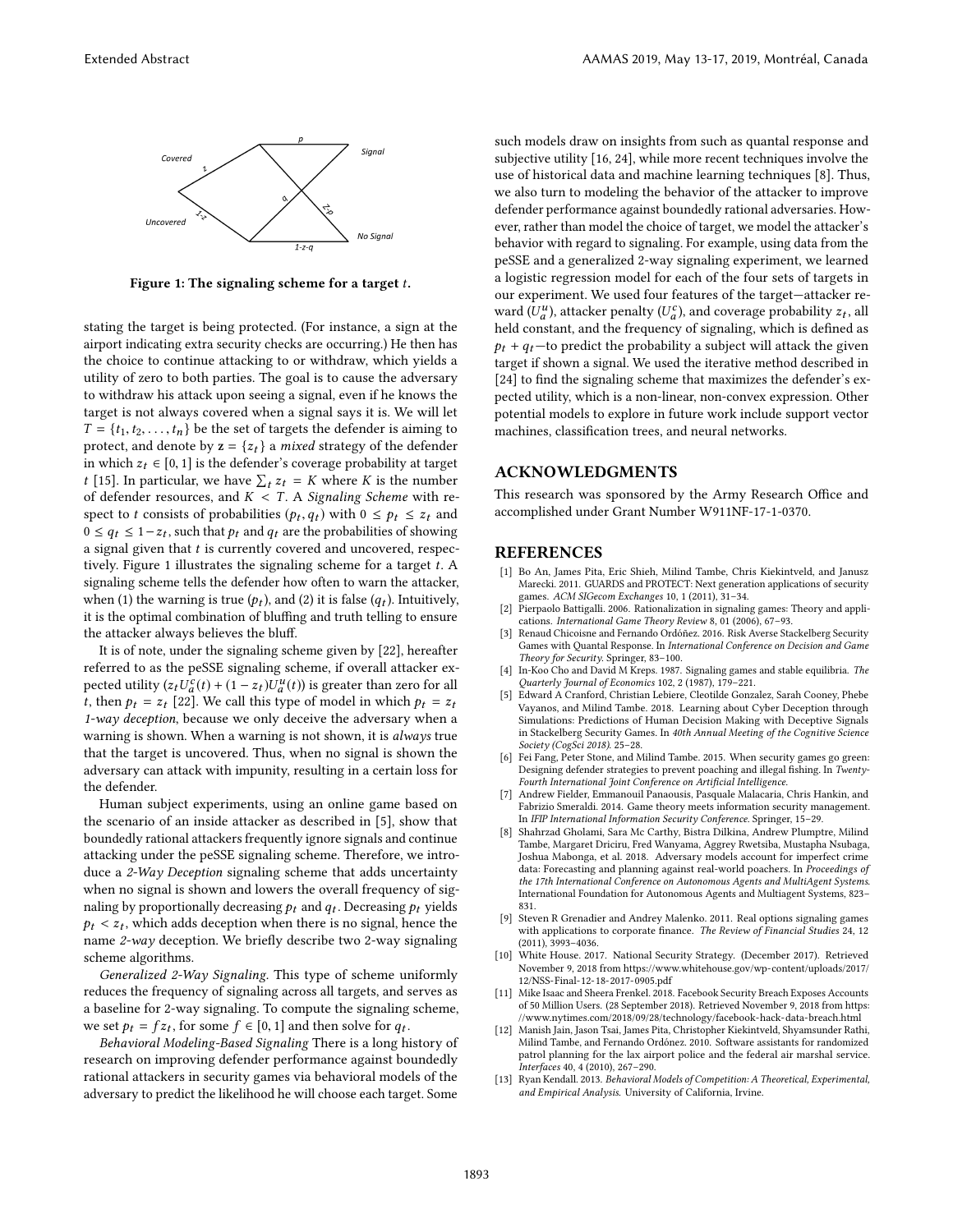<span id="page-1-11"></span>

Figure 1: The signaling scheme for a target  $t$ .

stating the target is being protected. (For instance, a sign at the airport indicating extra security checks are occurring.) He then has the choice to continue attacking to or withdraw, which yields a utility of zero to both parties. The goal is to cause the adversary to withdraw his attack upon seeing a signal, even if he knows the target is not always covered when a signal says it is. We will let  $T = \{t_1, t_2, \ldots, t_n\}$  be the set of targets the defender is aiming to protect, and denote by  $z = \{z_t\}$  a *mixed* strategy of the defender in which  $z_t \in [0, 1]$  is the defender's coverage probability at target *t* [\[15\]](#page-2-9). In particular, we have  $\sum_t z_t = K$  where *K* is the number of defender resources, and  $K < T$ . A Signaling Scheme with respect to t consists of probabilities  $(p_t, q_t)$  with  $0 \le p_t \le z_t$  and  $0 \le a_t \le 1-z_t$ , such that  $p_t$  and  $q_t$  are the probabilities of showing  $0 \le q_t \le 1-z_t$ , such that  $p_t$  and  $q_t$  are the probabilities of showing a signal given that  $t$  is currently covered and uncovered, respec-tively. Figure [1](#page-1-11) illustrates the signaling scheme for a target  $t$ . A signaling scheme tells the defender how often to warn the attacker, when (1) the warning is true  $(p_t)$ , and (2) it is false  $(q_t)$ . Intuitively, it is the optimal combination of bluffing and truth telling to ensure the attacker always believes the bluff.

It is of note, under the signaling scheme given by [\[22\]](#page-2-5), hereafter referred to as the peSSE signaling scheme, if overall attacker expected utility  $(z_t U_a^c(t) + (1 - z_t)U_a^u(t))$  is greater than zero for all t, then  $p_t = z_t$  [\[22\]](#page-2-5). We call this type of model in which  $p_t = z_t$ 1-way deception, because we only deceive the adversary when a warning is shown. When a warning is not shown, it is always true that the target is uncovered. Thus, when no signal is shown the adversary can attack with impunity, resulting in a certain loss for the defender.

Human subject experiments, using an online game based on the scenario of an inside attacker as described in [\[5\]](#page-1-12), show that boundedly rational attackers frequently ignore signals and continue attacking under the peSSE signaling scheme. Therefore, we introduce a 2-Way Deception signaling scheme that adds uncertainty when no signal is shown and lowers the overall frequency of signaling by proportionally decreasing  $p_t$  and  $q_t$ . Decreasing  $p_t$  yields  $p_t < z_t$ , which adds deception when there is no signal, hence the name  $2\pi u$  deception. We briefly describe two  $2\pi v$  signaling name 2-way deception. We briefly describe two 2-way signaling scheme algorithms.

Generalized 2-Way Signaling. This type of scheme uniformly reduces the frequency of signaling across all targets, and serves as a baseline for 2-way signaling. To compute the signaling scheme, we set  $p_t = fz_t$ , for some  $f \in [0, 1]$  and then solve for  $q_t$ .<br> *Rehavioral Modeling-Rased Signaling There is a long h* 

Behavioral Modeling-Based Signaling There is a long history of research on improving defender performance against boundedly rational attackers in security games via behavioral models of the adversary to predict the likelihood he will choose each target. Some

such models draw on insights from such as quantal response and subjective utility [\[16,](#page-2-10) [24\]](#page-2-11), while more recent techniques involve the use of historical data and machine learning techniques [\[8\]](#page-1-13). Thus, we also turn to modeling the behavior of the attacker to improve defender performance against boundedly rational adversaries. However, rather than model the choice of target, we model the attacker's behavior with regard to signaling. For example, using data from the peSSE and a generalized 2-way signaling experiment, we learned a logistic regression model for each of the four sets of targets in our experiment. We used four features of the target—attacker reward  $(U_a^u)$ , attacker penalty  $(U_a^c)$ , and coverage probability  $z_t$ , all held constant, and the frequency of signaling, which is defined as  $p_t + q_t$ —to predict the probability a subject will attack the given target if shown a signal. We used the iterative method described in  $[24]$  to find the signaling scheme that maximizes the defender's expected utility, which is a non-linear, non-convex expression. Other potential models to explore in future work include support vector machines, classification trees, and neural networks.

#### ACKNOWLEDGMENTS

This research was sponsored by the Army Research Office and accomplished under Grant Number W911NF-17-1-0370.

#### REFERENCES

- <span id="page-1-2"></span>[1] Bo An, James Pita, Eric Shieh, Milind Tambe, Chris Kiekintveld, and Janusz Marecki. 2011. GUARDS and PROTECT: Next generation applications of security games. ACM SIGecom Exchanges 10, 1 (2011), 31–34.
- <span id="page-1-6"></span>[2] Pierpaolo Battigalli. 2006. Rationalization in signaling games: Theory and applications. International Game Theory Review 8, 01 (2006), 67–93.
- <span id="page-1-9"></span>[3] Renaud Chicoisne and Fernando Ordóñez. 2016. Risk Averse Stackelberg Security Games with Quantal Response. In International Conference on Decision and Game Theory for Security. Springer, 83–100.
- <span id="page-1-7"></span>[4] In-Koo Cho and David M Kreps. 1987. Signaling games and stable equilibria. The Quarterly Journal of Economics 102, 2 (1987), 179–221.
- <span id="page-1-12"></span>[5] Edward A Cranford, Christian Lebiere, Cleotilde Gonzalez, Sarah Cooney, Phebe Vayanos, and Milind Tambe. 2018. Learning about Cyber Deception through Simulations: Predictions of Human Decision Making with Deceptive Signals in Stackelberg Security Games. In 40th Annual Meeting of the Cognitive Science Society (CogSci 2018). 25–28.
- <span id="page-1-3"></span>[6] Fei Fang, Peter Stone, and Milind Tambe. 2015. When security games go green: Designing defender strategies to prevent poaching and illegal fishing. In Twenty-Fourth International Joint Conference on Artificial Intelligence.
- <span id="page-1-5"></span>[7] Andrew Fielder, Emmanouil Panaousis, Pasquale Malacaria, Chris Hankin, and Fabrizio Smeraldi. 2014. Game theory meets information security management. In IFIP International Information Security Conference. Springer, 15–29.
- <span id="page-1-13"></span>[8] Shahrzad Gholami, Sara Mc Carthy, Bistra Dilkina, Andrew Plumptre, Milind Tambe, Margaret Driciru, Fred Wanyama, Aggrey Rwetsiba, Mustapha Nsubaga, Joshua Mabonga, et al. 2018. Adversary models account for imperfect crime data: Forecasting and planning against real-world poachers. In Proceedings of the 17th International Conference on Autonomous Agents and MultiAgent Systems. International Foundation for Autonomous Agents and Multiagent Systems, 823– 831.
- <span id="page-1-8"></span>[9] Steven R Grenadier and Andrey Malenko. 2011. Real options signaling games with applications to corporate finance. The Review of Financial Studies 24, 12 (2011), 3993–4036.
- <span id="page-1-0"></span>[10] White House. 2017. National Security Strategy. (December 2017). Retrieved November 9, 2018 from [https://www.whitehouse.gov/wp-content/uploads/2017/](https://www.whitehouse.gov/wp-content/uploads/2017/12/NSS-Final-12-18-2017-0905.pdf) [12/NSS-Final-12-18-2017-0905.pdf](https://www.whitehouse.gov/wp-content/uploads/2017/12/NSS-Final-12-18-2017-0905.pdf)
- <span id="page-1-1"></span>[11] Mike Isaac and Sheera Frenkel. 2018. Facebook Security Breach Exposes Accounts of 50 Million Users. (28 September 2018). Retrieved November 9, 2018 from [https:](https://www.nytimes.com/2018/09/28/technology/facebook-hack-data-breach.html) [//www.nytimes.com/2018/09/28/technology/facebook-hack-data-breach.html](https://www.nytimes.com/2018/09/28/technology/facebook-hack-data-breach.html)
- <span id="page-1-4"></span>[12] Manish Jain, Jason Tsai, James Pita, Christopher Kiekintveld, Shyamsunder Rathi, Milind Tambe, and Fernando Ordónez. 2010. Software assistants for randomized patrol planning for the lax airport police and the federal air marshal service. Interfaces 40, 4 (2010), 267–290.
- <span id="page-1-10"></span>[13] Ryan Kendall. 2013. Behavioral Models of Competition: A Theoretical, Experimental, and Empirical Analysis. University of California, Irvine.